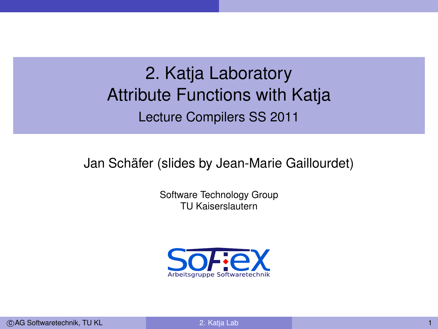# 2. Katja Laboratory Attribute Functions with Katja Lecture Compilers SS 2011

Jan Schäfer (slides by Jean-Marie Gaillourdet)

Software Technology Group TU Kaiserslautern

<span id="page-0-0"></span>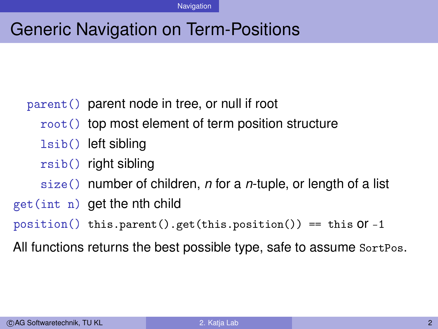# Generic Navigation on Term-Positions

#### parent() parent node in tree, or null if root

- root() top most element of term position structure
- lsib() left sibling
- rsib() right sibling
- size() number of children, *n* for a *n*-tuple, or length of a list
- get(int n) get the nth child

```
position() this.parent().get(this.position()) == this Of -1
```
All functions returns the best possible type, safe to assume SortPos.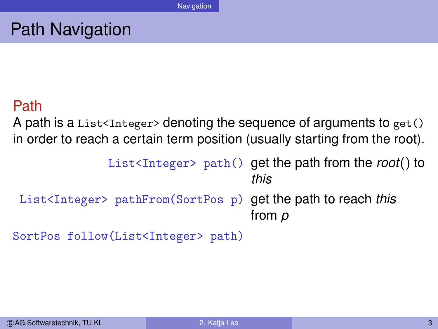## Path Navigation

#### Path

A path is a List<Integer> denoting the sequence of arguments to  $get()$ in order to reach a certain term position (usually starting from the root).

```
List<Integer> path() get the path from the root() to
                                      this
List<Integer> pathFrom(SortPos p) get the path to reach this
                                      from p
```

```
SortPos follow(List<Integer> path)
```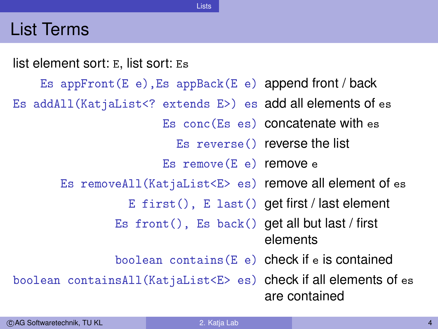## List Terms



Lists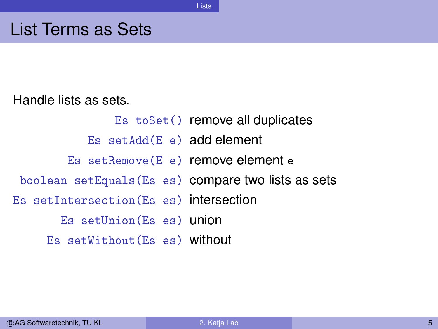#### List Terms as Sets

Handle lists as sets.

Es toSet() remove all duplicates Es setAdd(E e) add element Es setRemove(E e) remove element e boolean setEquals(Es es) compare two lists as sets Es setIntersection(Es es) intersection Es setUnion(Es es) union Es setWithout(Es es) without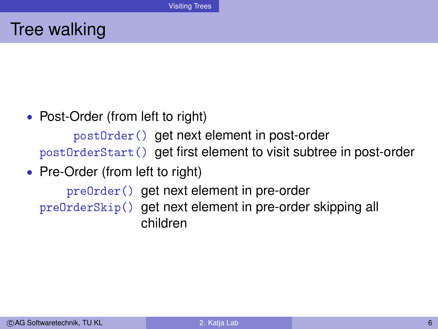## Tree walking

• Post-Order (from left to right)

postOrder() get next element in post-order postOrderStart() get first element to visit subtree in post-order

• Pre-Order (from left to right)

preOrder() get next element in pre-order preOrderSkip() get next element in pre-order skipping all children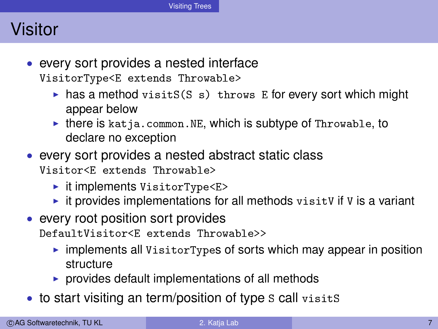## Visitor

- every sort provides a nested interface VisitorType<E extends Throwable>
	- has a method visitS(S s) throws E for every sort which might appear below
	- $\triangleright$  there is katja.common.NE, which is subtype of Throwable, to declare no exception
- every sort provides a nested abstract static class Visitor<E extends Throwable>
	- $\blacktriangleright$  it implements VisitorType<E>
	- $\triangleright$  it provides implementations for all methods visit V if V is a variant
- every root position sort provides DefaultVisitor<E extends Throwable>>
	- $\triangleright$  implements all VisitorTypes of sorts which may appear in position structure
	- $\triangleright$  provides default implementations of all methods
- to start visiting an term/position of type S call visits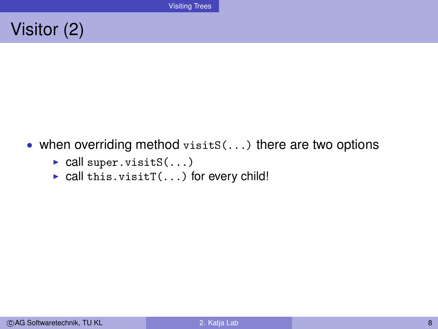## Visitor (2)

- when overriding method  $visits(...)$  there are two options
	- $\triangleright$  call super.visitS(...)
	- $\triangleright$  call this.visitT(...) for every child!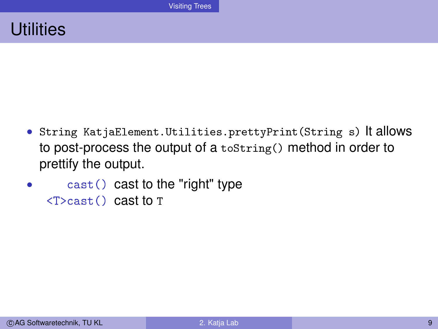### **Utilities**

- String KatjaElement.Utilities.prettyPrint(String s) It allows to post-process the output of a toString() method in order to prettify the output.
- $\text{cast}()$  cast to the "right" type  $(T > \text{cast}()$  cast to T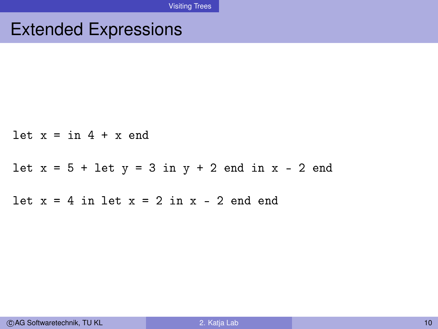# Extended Expressions

|  | $let x = in 4 + x end$                            |
|--|---------------------------------------------------|
|  | $let x = 5 + let y = 3 in y + 2 end in x - 2 end$ |
|  | $let x = 4 in let x = 2 in x - 2 end end$         |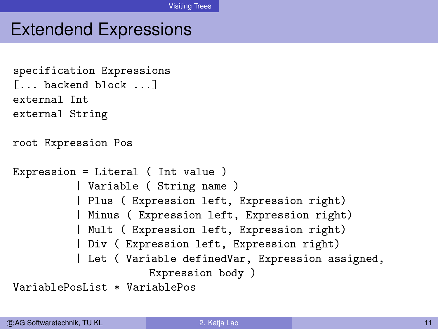# Extendend Expressions

```
specification Expressions
[... backend block ...]
external Int
external String
root Expression Pos
Expression = Literal ( Int value )
          | Variable ( String name )
          | Plus ( Expression left, Expression right)
          | Minus ( Expression left, Expression right)
          | Mult ( Expression left, Expression right)
          | Div ( Expression left, Expression right)
          | Let ( Variable definedVar, Expression assigned,
                      Expression body )
VariablePosList * VariablePos
```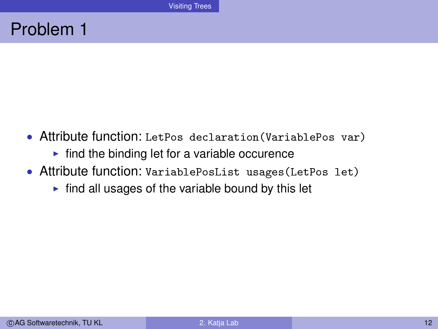## Problem 1

- Attribute function: LetPos declaration(VariablePos var)
	- $\blacktriangleright$  find the binding let for a variable occurence
- Attribute function: VariablePosList usages(LetPos let)
	- $\triangleright$  find all usages of the variable bound by this let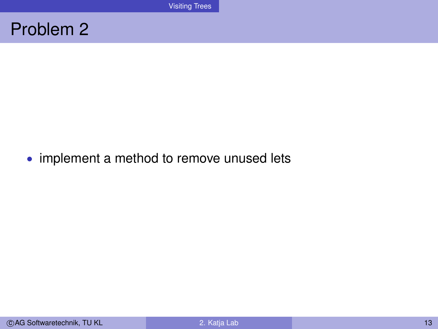### Problem 2

• implement a method to remove unused lets